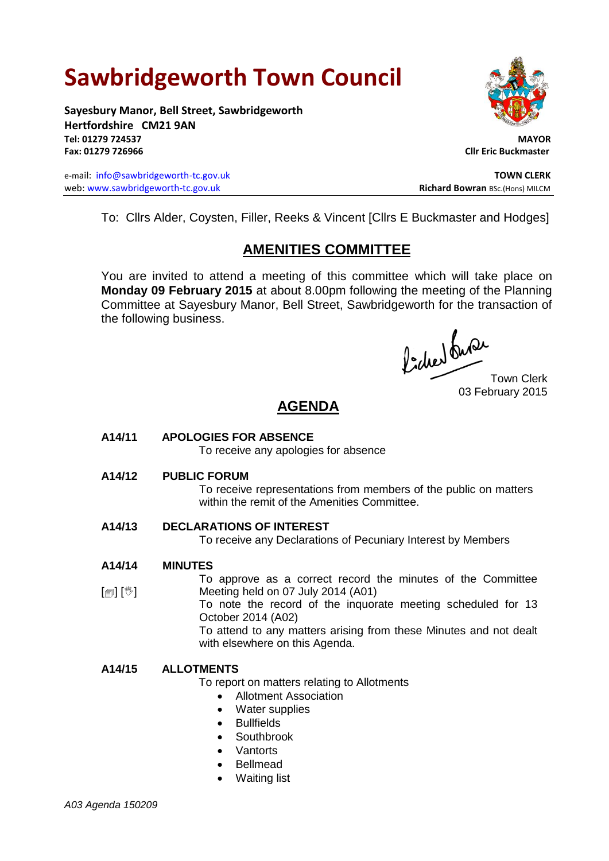# **Sawbridgeworth Town Council**

**Sayesbury Manor, Bell Street, Sawbridgeworth Hertfordshire CM21 9AN Tel: 01279 724537 MAYOR Fax: 01279 726966 Cllr Eric Buckmaster**

e-mail: [info@sawbridgeworth-tc.gov.uk](mailto:info@sawbridgeworth-tc.gov.uk)<br>
web: www.sawbridgeworth-tc.gov.uk **TOWN CLERK**<br>
Richard Bowran BSc.(Hons) MILCM web: www.sawbridgeworth-tc.gov.uk



To: Cllrs Alder, Coysten, Filler, Reeks & Vincent [Cllrs E Buckmaster and Hodges]

# **AMENITIES COMMITTEE**

You are invited to attend a meeting of this committee which will take place on **Monday 09 February 2015** at about 8.00pm following the meeting of the Planning Committee at Sayesbury Manor, Bell Street, Sawbridgeworth for the transaction of the following business.

fided ture

03 February 2015

# **AGENDA**

# **A14/11 APOLOGIES FOR ABSENCE**

To receive any apologies for absence

# **A14/12 PUBLIC FORUM**

To receive representations from members of the public on matters within the remit of the Amenities Committee.

# **A14/13 DECLARATIONS OF INTEREST**

To receive any Declarations of Pecuniary Interest by Members

#### **A14/14 MINUTES**

 $[\circledast]$   $[\circledast]$ To approve as a correct record the minutes of the Committee Meeting held on 07 July 2014 (A01)

To note the record of the inquorate meeting scheduled for 13 October 2014 (A02)

To attend to any matters arising from these Minutes and not dealt with elsewhere on this Agenda.

# **A14/15 ALLOTMENTS**

To report on matters relating to Allotments

- Allotment Association
- Water supplies
- Bullfields
- Southbrook
- **Vantorts**
- Bellmead
- Waiting list